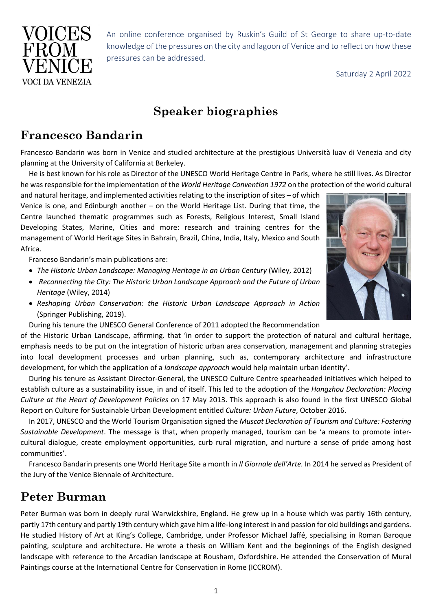

An online conference organised by Ruskin's Guild of St George to share up-to-date knowledge of the pressures on the city and lagoon of Venice and to reflect on how these pressures can be addressed.

Saturday 2 April 2022

# **Speaker biographies**

#### **Francesco Bandarin**

Francesco Bandarin was born in Venice and studied architecture at the prestigious Università luav di Venezia and city planning at the University of California at Berkeley.

He is best known for his role as Director of the UNESCO World Heritage Centre in Paris, where he still lives. As Director he was responsible for the implementation of the *World Heritage Convention 1972* on the protection of the world cultural

and natural heritage, and implemented activities relating to the inscription of sites – of which Venice is one, and Edinburgh another – on the World Heritage List. During that time, the Centre launched thematic programmes such as Forests, Religious Interest, Small Island Developing States, Marine, Cities and more: research and training centres for the management of World Heritage Sites in Bahrain, Brazil, China, India, Italy, Mexico and South Africa.

Franceso Bandarin's main publications are:

- *The Historic Urban Landscape: Managing Heritage in an Urban Century* (Wiley, 2012)
- *Reconnecting the City: The Historic Urban Landscape Approach and the Future of Urban Heritage* (Wiley, 2014)
- *Reshaping Urban Conservation: the Historic Urban Landscape Approach in Action* (Springer Publishing, 2019).
- During his tenure the UNESCO General Conference of 2011 adopted the Recommendation

of the Historic Urban Landscape, affirming. that 'in order to support the protection of natural and cultural heritage, emphasis needs to be put on the integration of historic urban area conservation, management and planning strategies into local development processes and urban planning, such as, contemporary architecture and infrastructure development, for which the application of a *landscape approach* would help maintain urban identity'.

During his tenure as Assistant Director-General, the UNESCO Culture Centre spearheaded initiatives which helped to establish culture as a sustainability issue, in and of itself. This led to the adoption of the *Hangzhou Declaration: Placing Culture at the Heart of Development Policies* on 17 May 2013. This approach is also found in the first UNESCO Global Report on Culture for Sustainable Urban Development entitled *Culture: Urban Future*, October 2016.

In 2017, UNESCO and the World Tourism Organisation signed the *Muscat Declaration of Tourism and Culture: Fostering Sustainable Development*. The message is that, when properly managed, tourism can be 'a means to promote intercultural dialogue, create employment opportunities, curb rural migration, and nurture a sense of pride among host communities'.

Francesco Bandarin presents one World Heritage Site a month in *Il Giornale dell'Arte.* In 2014 he served as President of the Jury of the Venice Biennale of Architecture.

### **Peter Burman**

Peter Burman was born in deeply rural Warwickshire, England. He grew up in a house which was partly 16th century, partly 17th century and partly 19th century which gave him a life-long interest in and passion for old buildings and gardens. He studied History of Art at King's College, Cambridge, under Professor Michael Jaffé, specialising in Roman Baroque painting, sculpture and architecture. He wrote a thesis on William Kent and the beginnings of the English designed landscape with reference to the Arcadian landscape at Rousham, Oxfordshire. He attended the Conservation of Mural Paintings course at the International Centre for Conservation in Rome (ICCROM).

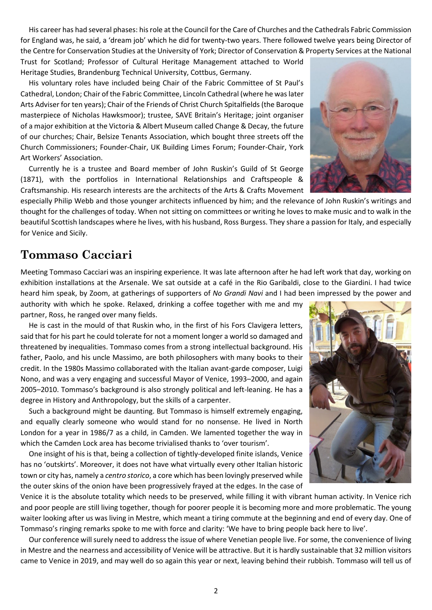His career has had several phases: his role at the Council for the Care of Churches and the Cathedrals Fabric Commission for England was, he said, a 'dream job' which he did for twenty-two years. There followed twelve years being Director of the Centre for Conservation Studies at the University of York; Director of Conservation & Property Services at the National Trust for Scotland; Professor of Cultural Heritage Management attached to World

Heritage Studies, Brandenburg Technical University, Cottbus, Germany.

His voluntary roles have included being Chair of the Fabric Committee of St Paul's Cathedral, London; Chair of the Fabric Committee, Lincoln Cathedral (where he was later Arts Adviser for ten years); Chair of the Friends of Christ Church Spitalfields (the Baroque masterpiece of Nicholas Hawksmoor); trustee, SAVE Britain's Heritage; joint organiser of a major exhibition at the Victoria & Albert Museum called Change & Decay, the future of our churches; Chair, Belsize Tenants Association, which bought three streets off the Church Commissioners; Founder-Chair, UK Building Limes Forum; Founder-Chair, York Art Workers' Association.

Currently he is a trustee and Board member of John Ruskin's Guild of St George (1871), with the portfolios in International Relationships and Craftspeople & Craftsmanship. His research interests are the architects of the Arts & Crafts Movement

especially Philip Webb and those younger architects influenced by him; and the relevance of John Ruskin's writings and thought for the challenges of today. When not sitting on committees or writing he loves to make music and to walk in the beautiful Scottish landscapes where he lives, with his husband, Ross Burgess. They share a passion for Italy, and especially for Venice and Sicily.

#### **Tommaso Cacciari**

Meeting Tommaso Cacciari was an inspiring experience. It was late afternoon after he had left work that day, working on exhibition installations at the Arsenale. We sat outside at a café in the Rio Garibaldi, close to the Giardini. I had twice heard him speak, by Zoom, at gatherings of supporters of *No Grandi Navi* and I had been impressed by the power and

authority with which he spoke. Relaxed, drinking a coffee together with me and my partner, Ross, he ranged over many fields.

He is cast in the mould of that Ruskin who, in the first of his Fors Clavigera letters, said that for his part he could tolerate for not a moment longer a world so damaged and threatened by inequalities. Tommaso comes from a strong intellectual background. His father, Paolo, and his uncle Massimo, are both philosophers with many books to their credit. In the 1980s Massimo collaborated with the Italian avant-garde composer, Luigi Nono, and was a very engaging and successful Mayor of Venice, 1993–2000, and again 2005–2010. Tommaso's background is also strongly political and left-leaning. He has a degree in History and Anthropology, but the skills of a carpenter.

Such a background might be daunting. But Tommaso is himself extremely engaging, and equally clearly someone who would stand for no nonsense. He lived in North London for a year in 1986/7 as a child, in Camden. We lamented together the way in which the Camden Lock area has become trivialised thanks to 'over tourism'.

One insight of his is that, being a collection of tightly-developed finite islands, Venice has no 'outskirts'. Moreover, it does not have what virtually every other Italian historic town or city has, namely a *centro storico*, a core which has been lovingly preserved while the outer skins of the onion have been progressively frayed at the edges. In the case of

Venice it is the absolute totality which needs to be preserved, while filling it with vibrant human activity. In Venice rich and poor people are still living together, though for poorer people it is becoming more and more problematic. The young waiter looking after us was living in Mestre, which meant a tiring commute at the beginning and end of every day. One of Tommaso's ringing remarks spoke to me with force and clarity: 'We have to bring people back here to live'.

Our conference will surely need to address the issue of where Venetian people live. For some, the convenience of living in Mestre and the nearness and accessibility of Venice will be attractive. But it is hardly sustainable that 32 million visitors came to Venice in 2019, and may well do so again this year or next, leaving behind their rubbish. Tommaso will tell us of



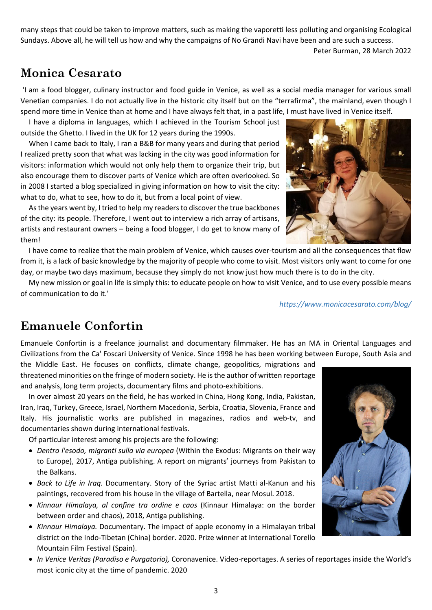many steps that could be taken to improve matters, such as making the vaporetti less polluting and organising Ecological Sundays. Above all, he will tell us how and why the campaigns of No Grandi Navi have been and are such a success.

Peter Burman, 28 March 2022

## **Monica Cesarato**

'I am a food blogger, culinary instructor and food guide in Venice, as well as a social media manager for various small Venetian companies. I do not actually live in the historic city itself but on the "terrafirma", the mainland, even though I spend more time in Venice than at home and I have always felt that, in a past life, I must have lived in Venice itself.

I have a diploma in languages, which I achieved in the Tourism School just outside the Ghetto. I lived in the UK for 12 years during the 1990s.

When I came back to Italy, I ran a B&B for many years and during that period I realized pretty soon that what was lacking in the city was good information for visitors: information which would not only help them to organize their trip, but also encourage them to discover parts of Venice which are often overlooked. So in 2008 I started a blog specialized in giving information on how to visit the city: what to do, what to see, how to do it, but from a local point of view.

As the years went by, I tried to help my readers to discover the true backbones of the city: its people. Therefore, I went out to interview a rich array of artisans, artists and restaurant owners – being a food blogger, I do get to know many of them!



My new mission or goal in life is simply this: to educate people on how to visit Venice, and to use every possible means of communication to do it.'

*https://www.monicacesarato.com/blog/*

### **Emanuele Confortin**

Emanuele Confortin is a freelance journalist and documentary filmmaker. He has an MA in Oriental Languages and Civilizations from the Ca' Foscari University of Venice. Since 1998 he has been working between Europe, South Asia and

the Middle East. He focuses on conflicts, climate change, geopolitics, migrations and threatened minorities on the fringe of modern society. He is the author of written reportage and analysis, long term projects, documentary films and photo-exhibitions.

In over almost 20 years on the field, he has worked in China, Hong Kong, India, Pakistan, Iran, Iraq, Turkey, Greece, Israel, Northern Macedonia, Serbia, Croatia, Slovenia, France and Italy. His journalistic works are published in magazines, radios and web-tv, and documentaries shown during international festivals.

Of particular interest among his projects are the following:

- *Dentro l'esodo, migranti sulla via europea* (Within the Exodus: Migrants on their way to Europe), 2017, Antiga publishing. A report on migrants' journeys from Pakistan to the Balkans.
- *Back to Life in Iraq.* Documentary. Story of the Syriac artist Matti al-Kanun and his paintings, recovered from his house in the village of Bartella, near Mosul. 2018.
- *Kinnaur Himalaya, al confine tra ordine e caos* (Kinnaur Himalaya: on the border between order and chaos), 2018, Antiga publishing.
- *Kinnaur Himalaya.* Documentary. The impact of apple economy in a Himalayan tribal district on the Indo-Tibetan (China) border. 2020. Prize winner at International Torello Mountain Film Festival (Spain).
- *In Venice Veritas (Paradiso e Purgatorio),* Coronavenice. Video-reportages. A series of reportages inside the World's most iconic city at the time of pandemic. 2020



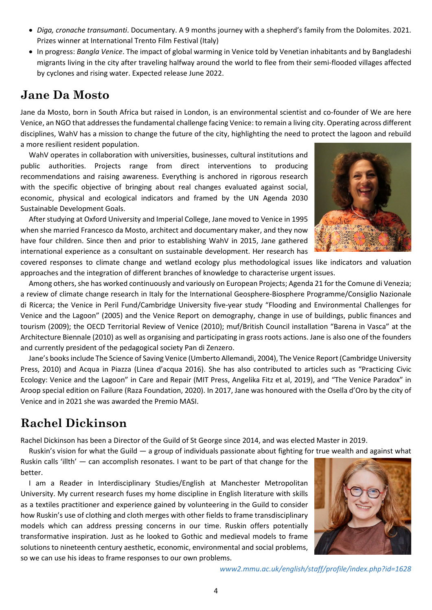- *Diga, cronache transumanti*. Documentary. A 9 months journey with a shepherd's family from the Dolomites. 2021. Prizes winner at International Trento Film Festival (Italy)
- In progress: *Bangla Venice*. The impact of global warming in Venice told by Venetian inhabitants and by Bangladeshi migrants living in the city after traveling halfway around the world to flee from their semi-flooded villages affected by cyclones and rising water. Expected release June 2022.

#### **Jane Da Mosto**

Jane da Mosto, born in South Africa but raised in London, is an environmental scientist and co-founder of We are here Venice, an NGO that addresses the fundamental challenge facing Venice: to remain a living city. Operating across different disciplines, WahV has a mission to change the future of the city, highlighting the need to protect the lagoon and rebuild a more resilient resident population.

WahV operates in collaboration with universities, businesses, cultural institutions and public authorities. Projects range from direct interventions to producing recommendations and raising awareness. Everything is anchored in rigorous research with the specific objective of bringing about real changes evaluated against social, economic, physical and ecological indicators and framed by the UN Agenda 2030 Sustainable Development Goals.

After studying at Oxford University and Imperial College, Jane moved to Venice in 1995 when she married Francesco da Mosto, architect and documentary maker, and they now have four children. Since then and prior to establishing WahV in 2015, Jane gathered international experience as a consultant on sustainable development. Her research has



covered responses to climate change and wetland ecology plus methodological issues like indicators and valuation approaches and the integration of different branches of knowledge to characterise urgent issues.

Among others, she has worked continuously and variously on European Projects; Agenda 21 for the Comune di Venezia; a review of climate change research in Italy for the International Geosphere-Biosphere Programme/Consiglio Nazionale di Ricerca; the Venice in Peril Fund/Cambridge University five-year study "Flooding and Environmental Challenges for Venice and the Lagoon" (2005) and the Venice Report on demography, change in use of buildings, public finances and tourism (2009); the OECD Territorial Review of Venice (2010); muf/British Council installation "Barena in Vasca" at the Architecture Biennale (2010) as well as organising and participating in grass roots actions. Jane is also one of the founders and currently president of the pedagogical society Pan di Zenzero.

Jane's books include The Science of Saving Venice (Umberto Allemandi, 2004), The Venice Report (Cambridge University Press, 2010) and Acqua in Piazza (Linea d'acqua 2016). She has also contributed to articles such as "Practicing Civic Ecology: Venice and the Lagoon" in Care and Repair (MIT Press, Angelika Fitz et al, 2019), and "The Venice Paradox" in Aroop special edition on Failure (Raza Foundation, 2020). In 2017, Jane was honoured with the Osella d'Oro by the city of Venice and in 2021 she was awarded the Premio MASI.

# **Rachel Dickinson**

Rachel Dickinson has been a Director of the Guild of St George since 2014, and was elected Master in 2019.

Ruskin's vision for what the Guild — a group of individuals passionate about fighting for true wealth and against what

Ruskin calls 'illth' — can accomplish resonates. I want to be part of that change for the better.

I am a Reader in Interdisciplinary Studies/English at Manchester Metropolitan University. My current research fuses my home discipline in English literature with skills as a textiles practitioner and experience gained by volunteering in the Guild to consider how Ruskin's use of clothing and cloth merges with other fields to frame transdisciplinary models which can address pressing concerns in our time. Ruskin offers potentially transformative inspiration. Just as he looked to Gothic and medieval models to frame solutions to nineteenth century aesthetic, economic, environmental and social problems, so we can use his ideas to frame responses to our own problems.



*www2.mmu.ac.uk/english/staff/profile/index.php?id=1628*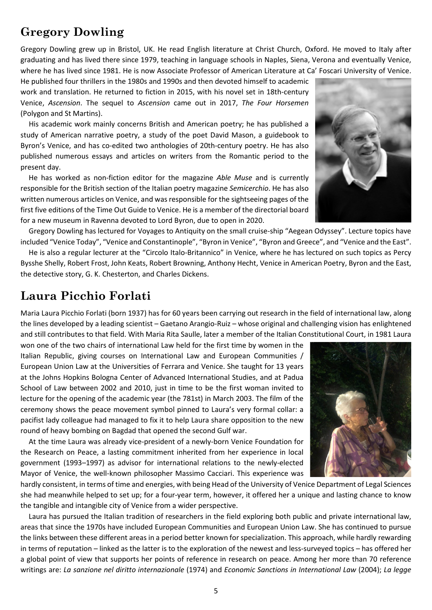## **Gregory Dowling**

Gregory Dowling grew up in Bristol, UK. He read English literature at Christ Church, Oxford. He moved to Italy after graduating and has lived there since 1979, teaching in language schools in Naples, Siena, Verona and eventually Venice, where he has lived since 1981. He is now Associate Professor of American Literature at Ca' Foscari University of Venice.

He published four thrillers in the 1980s and 1990s and then devoted himself to academic work and translation. He returned to fiction in 2015, with his novel set in 18th-century Venice, *Ascension*. The sequel to *Ascension* came out in 2017, *The Four Horsemen* (Polygon and St Martins).

His academic work mainly concerns British and American poetry; he has published a study of American narrative poetry, a study of the poet David Mason, a guidebook to Byron's Venice, and has co-edited two anthologies of 20th-century poetry. He has also published numerous essays and articles on writers from the Romantic period to the present day.

He has worked as non-fiction editor for the magazine *Able Muse* and is currently responsible for the British section of the Italian poetry magazine *Semicerchio*. He has also written numerous articles on Venice, and was responsible for the sightseeing pages of the first five editions of the Time Out Guide to Venice. He is a member of the directorial board for a new museum in Ravenna devoted to Lord Byron, due to open in 2020.

Gregory Dowling has lectured for Voyages to Antiquity on the small cruise-ship "Aegean Odyssey". Lecture topics have included "Venice Today", "Venice and Constantinople", "Byron in Venice", "Byron and Greece", and "Venice and the East".

He is also a regular lecturer at the "Circolo Italo-Britannico" in Venice, where he has lectured on such topics as Percy Bysshe Shelly, Robert Frost, John Keats, Robert Browning, Anthony Hecht, Venice in American Poetry, Byron and the East, the detective story, G. K. Chesterton, and Charles Dickens.

### **Laura Picchio Forlati**

Maria Laura Picchio Forlati (born 1937) has for 60 years been carrying out research in the field of international law, along the lines developed by a leading scientist – Gaetano Arangio-Ruiz – whose original and challenging vision has enlightened and still contributes to that field. With Maria Rita Saulle, later a member of the Italian Constitutional Court, in 1981 Laura

won one of the two chairs of international Law held for the first time by women in the Italian Republic, giving courses on International Law and European Communities / European Union Law at the Universities of Ferrara and Venice. She taught for 13 years at the Johns Hopkins Bologna Center of Advanced International Studies, and at Padua School of Law between 2002 and 2010, just in time to be the first woman invited to lecture for the opening of the academic year (the 781st) in March 2003. The film of the ceremony shows the peace movement symbol pinned to Laura's very formal collar: a pacifist lady colleague had managed to fix it to help Laura share opposition to the new round of heavy bombing on Bagdad that opened the second Gulf war.

At the time Laura was already vice-president of a newly-born Venice Foundation for the Research on Peace, a lasting commitment inherited from her experience in local government (1993–1997) as advisor for international relations to the newly-elected Mayor of Venice, the well-known philosopher Massimo Cacciari. This experience was

hardly consistent, in terms of time and energies, with being Head of the University of Venice Department of Legal Sciences she had meanwhile helped to set up; for a four-year term, however, it offered her a unique and lasting chance to know the tangible and intangible city of Venice from a wider perspective.

Laura has pursued the Italian tradition of researchers in the field exploring both public and private international law, areas that since the 1970s have included European Communities and European Union Law. She has continued to pursue the links between these different areas in a period better known for specialization. This approach, while hardly rewarding in terms of reputation – linked as the latter is to the exploration of the newest and less-surveyed topics – has offered her a global point of view that supports her points of reference in research on peace. Among her more than 70 reference writings are: *La sanzione nel diritto internazionale* (1974) and *Economic Sanctions in International Law* (2004); *La legge* 

5





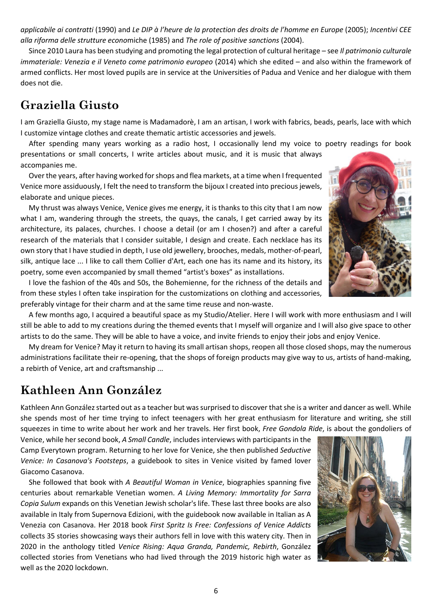*applicabile ai contratti* (1990) and *Le DIP à l'heure de la protection des droits de l'homme en Europe* (2005); *Incentivi CEE alla riforma delle strutture econo*miche (1985) and *The role of positive sanctions* (2004).

Since 2010 Laura has been studying and promoting the legal protection of cultural heritage – see *Il patrimonio culturale immateriale: Venezia e il Veneto come patrimonio europeo* (2014) which she edited – and also within the framework of armed conflicts. Her most loved pupils are in service at the Universities of Padua and Venice and her dialogue with them does not die.

#### **Graziella Giusto**

I am Graziella Giusto, my stage name is Madamadorè, I am an artisan, I work with fabrics, beads, pearls, lace with which I customize vintage clothes and create thematic artistic accessories and jewels.

After spending many years working as a radio host, I occasionally lend my voice to poetry readings for book presentations or small concerts, I write articles about music, and it is music that always accompanies me.

Over the years, after having worked for shops and flea markets, at a time when I frequented Venice more assiduously, I felt the need to transform the bijoux I created into precious jewels, elaborate and unique pieces.

My thrust was always Venice, Venice gives me energy, it is thanks to this city that I am now what I am, wandering through the streets, the quays, the canals, I get carried away by its architecture, its palaces, churches. I choose a detail (or am I chosen?) and after a careful research of the materials that I consider suitable, I design and create. Each necklace has its own story that I have studied in depth, I use old jewellery, brooches, medals, mother-of-pearl, silk, antique lace ... I like to call them Collier d'Art, each one has its name and its history, its poetry, some even accompanied by small themed "artist's boxes" as installations.

I love the fashion of the 40s and 50s, the Bohemienne, for the richness of the details and from these styles I often take inspiration for the customizations on clothing and accessories, preferably vintage for their charm and at the same time reuse and non-waste.

A few months ago, I acquired a beautiful space as my Studio/Atelier. Here I will work with more enthusiasm and I will still be able to add to my creations during the themed events that I myself will organize and I will also give space to other artists to do the same. They will be able to have a voice, and invite friends to enjoy their jobs and enjoy Venice.

My dream for Venice? May it return to having its small artisan shops, reopen all those closed shops, may the numerous administrations facilitate their re-opening, that the shops of foreign products may give way to us, artists of hand-making, a rebirth of Venice, art and craftsmanship ...

### **Kathleen Ann González**

Kathleen Ann González started out as a teacher but was surprised to discover that she is a writer and dancer as well. While she spends most of her time trying to infect teenagers with her great enthusiasm for literature and writing, she still squeezes in time to write about her work and her travels. Her first book, *Free Gondola Ride*, is about the gondoliers of

Venice, while her second book, *A Small Candle*, includes interviews with participants in the Camp Everytown program. Returning to her love for Venice, she then published *Seductive Venice: In Casanova's Footsteps*, a guidebook to sites in Venice visited by famed lover Giacomo Casanova.

She followed that book with *A Beautiful Woman in Venice*, biographies spanning five centuries about remarkable Venetian women. *A Living Memory: Immortality for Sarra Copia Sulum* expands on this Venetian Jewish scholar's life. These last three books are also available in Italy from Supernova Edizioni, with the guidebook now available in Italian as A Venezia con Casanova. Her 2018 book *First Spritz Is Free: Confessions of Venice Addicts* collects 35 stories showcasing ways their authors fell in love with this watery city. Then in 2020 in the anthology titled *Venice Rising: Aqua Granda, Pandemic, Rebirth*, González collected stories from Venetians who had lived through the 2019 historic high water as well as the 2020 lockdown.



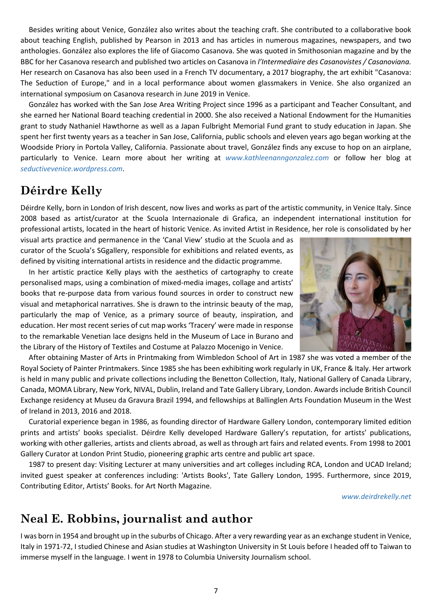Besides writing about Venice, González also writes about the teaching craft. She contributed to a collaborative book about teaching English, published by Pearson in 2013 and has articles in numerous magazines, newspapers, and two anthologies. González also explores the life of Giacomo Casanova. She was quoted in Smithosonian magazine and by the BBC for her Casanova research and published two articles on Casanova in *l'Intermediaire des Casanovistes / Casanoviana.* Her research on Casanova has also been used in a French TV documentary, a 2017 biography, the art exhibit "Casanova: The Seduction of Europe," and in a local performance about women glassmakers in Venice. She also organized an international symposium on Casanova research in June 2019 in Venice.

González has worked with the San Jose Area Writing Project since 1996 as a participant and Teacher Consultant, and she earned her National Board teaching credential in 2000. She also received a National Endowment for the Humanities grant to study Nathaniel Hawthorne as well as a Japan Fulbright Memorial Fund grant to study education in Japan. She spent her first twenty years as a teacher in San Jose, California, public schools and eleven years ago began working at the Woodside Priory in Portola Valley, California. Passionate about travel, González finds any excuse to hop on an airplane, particularly to Venice. Learn more about her writing at *www.kathleenanngonzalez.com* or follow her blog at *seductivevenice.wordpress.com*.

### **Déirdre Kelly**

Déirdre Kelly, born in London of Irish descent, now lives and works as part of the artistic community, in Venice Italy. Since 2008 based as artist/curator at the Scuola Internazionale di Grafica, an independent international institution for professional artists, located in the heart of historic Venice. As invited Artist in Residence, her role is consolidated by her

visual arts practice and permanence in the 'Canal View' studio at the Scuola and as curator of the Scuola's SGgallery, responsible for exhibitions and related events, as defined by visiting international artists in residence and the didactic programme.

In her artistic practice Kelly plays with the aesthetics of cartography to create personalised maps, using a combination of mixed-media images, collage and artists' books that re-purpose data from various found sources in order to construct new visual and metaphorical narratives. She is drawn to the intrinsic beauty of the map, particularly the map of Venice, as a primary source of beauty, inspiration, and education. Her most recent series of cut map works 'Tracery' were made in response to the remarkable Venetian lace designs held in the Museum of Lace in Burano and the Library of the History of Textiles and Costume at Palazzo Mocenigo in Venice.



After obtaining Master of Arts in Printmaking from Wimbledon School of Art in 1987 she was voted a member of the Royal Society of Painter Printmakers. Since 1985 she has been exhibiting work regularly in UK, France & Italy. Her artwork is held in many public and private collections including the Benetton Collection, Italy, National Gallery of Canada Library, Canada, MOMA Library, New York, NIVAL, Dublin, Ireland and Tate Gallery Library, London. Awards include British Council Exchange residency at Museu da Gravura Brazil 1994, and fellowships at Ballinglen Arts Foundation Museum in the West of Ireland in 2013, 2016 and 2018.

Curatorial experience began in 1986, as founding director of Hardware Gallery London, contemporary limited edition prints and artists' books specialist. Déirdre Kelly developed Hardware Gallery's reputation, for artists' publications, working with other galleries, artists and clients abroad, as well as through art fairs and related events. From 1998 to 2001 Gallery Curator at London Print Studio, pioneering graphic arts centre and public art space.

1987 to present day: Visiting Lecturer at many universities and art colleges including RCA, London and UCAD Ireland; invited guest speaker at conferences including: 'Artists Books', Tate Gallery London, 1995. Furthermore, since 2019, Contributing Editor, Artists' Books. for Art North Magazine.

*www.deirdrekelly.net*

### **Neal E. Robbins, journalist and author**

I was born in 1954 and brought up in the suburbs of Chicago. After a very rewarding year as an exchange student in Venice, Italy in 1971-72, I studied Chinese and Asian studies at Washington University in St Louis before I headed off to Taiwan to immerse myself in the language. I went in 1978 to Columbia University Journalism school.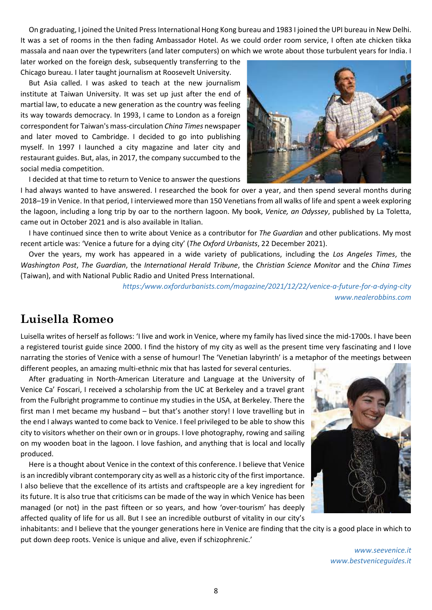On graduating, I joined the United Press International Hong Kong bureau and 1983 I joined the UPI bureau in New Delhi. It was a set of rooms in the then fading Ambassador Hotel. As we could order room service, I often ate chicken tikka massala and naan over the typewriters (and later computers) on which we wrote about those turbulent years for India. I

later worked on the foreign desk, subsequently transferring to the Chicago bureau. I later taught journalism at Roosevelt University.

But Asia called. I was asked to teach at the new journalism institute at Taiwan University. It was set up just after the end of martial law, to educate a new generation as the country was feeling its way towards democracy. In 1993, I came to London as a foreign correspondent for Taiwan's mass-circulation *China Times* newspaper and later moved to Cambridge. I decided to go into publishing myself. In 1997 I launched a city magazine and later city and restaurant guides. But, alas, in 2017, the company succumbed to the social media competition.



I decided at that time to return to Venice to answer the questions

I had always wanted to have answered. I researched the book for over a year, and then spend several months during 2018–19 in Venice. In that period, I interviewed more than 150 Venetians from all walks of life and spent a week exploring the lagoon, including a long trip by oar to the northern lagoon. My book, *Venice, an Odyssey*, published by La Toletta, came out in October 2021 and is also available in Italian.

I have continued since then to write about Venice as a contributor for *The Guardian* and other publications. My most recent article was: 'Venice a future for a dying city' (*The Oxford Urbanists*, 22 December 2021).

Over the years, my work has appeared in a wide variety of publications, including the *Los Angeles Times*, the *Washington Post*, *The Guardian*, the *International Herald Tribune*, the *Christian Science Monitor* and the *China Times* (Taiwan), and with National Public Radio and United Press International.

> *https:/www.oxfordurbanists.com/magazine/2021/12/22/venice-a-future-for-a-dying-city www.nealerobbins.com*

#### **Luisella Romeo**

Luisella writes of herself as follows: 'I live and work in Venice, where my family has lived since the mid-1700s. I have been a registered tourist guide since 2000. I find the history of my city as well as the present time very fascinating and I love narrating the stories of Venice with a sense of humour! The 'Venetian labyrinth' is a metaphor of the meetings between different peoples, an amazing multi-ethnic mix that has lasted for several centuries.

After graduating in North-American Literature and Language at the University of Venice Ca' Foscari, I received a scholarship from the UC at Berkeley and a travel grant from the Fulbright programme to continue my studies in the USA, at Berkeley. There the first man I met became my husband – but that's another story! I love travelling but in the end I always wanted to come back to Venice. I feel privileged to be able to show this city to visitors whether on their own or in groups. I love photography, rowing and sailing on my wooden boat in the lagoon. I love fashion, and anything that is local and locally produced.

Here is a thought about Venice in the context of this conference. I believe that Venice is an incredibly vibrant contemporary city as well as a historic city of the first importance. I also believe that the excellence of its artists and craftspeople are a key ingredient for its future. It is also true that criticisms can be made of the way in which Venice has been managed (or not) in the past fifteen or so years, and how 'over-tourism' has deeply affected quality of life for us all. But I see an incredible outburst of vitality in our city's



inhabitants: and I believe that the younger generations here in Venice are finding that the city is a good place in which to put down deep roots. Venice is unique and alive, even if schizophrenic.'

> *www.seevenice.it www.bestveniceguides.it*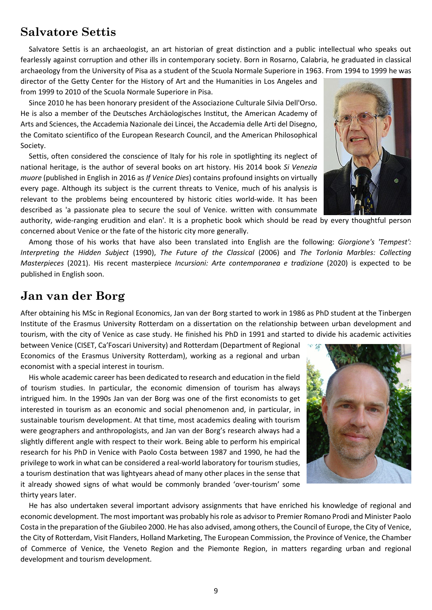#### **Salvatore Settis**

Salvatore Settis is an archaeologist, an art historian of great distinction and a public intellectual who speaks out fearlessly against corruption and other ills in contemporary society. Born in Rosarno, Calabria, he graduated in classical archaeology from the University of Pisa as a student of the Scuola Normale Superiore in 1963. From 1994 to 1999 he was

director of the Getty Center for the History of Art and the Humanities in Los Angeles and from 1999 to 2010 of the Scuola Normale Superiore in Pisa.

Since 2010 he has been honorary president of the Associazione Culturale Silvia Dell'Orso. He is also a member of the Deutsches Archäologisches Institut, the American Academy of Arts and Sciences, the Accademia Nazionale dei Lincei, the Accademia delle Arti del Disegno, the Comitato scientifico of the European Research Council, and the American Philosophical Society.

Settis, often considered the conscience of Italy for his role in spotlighting its neglect of national heritage, is the author of several books on art history. His 2014 book *Si Venezia muore* (published in English in 2016 as *If Venice Dies*) contains profound insights on virtually every page. Although its subject is the current threats to Venice, much of his analysis is relevant to the problems being encountered by historic cities world-wide. It has been described as 'a passionate plea to secure the soul of Venice. written with consummate

authority, wide-ranging erudition and elan'. It is a prophetic book which should be read by every thoughtful person concerned about Venice or the fate of the historic city more generally.

Among those of his works that have also been translated into English are the following: *Giorgione's 'Tempest': Interpreting the Hidden Subject* (1990), *The Future of the Classical* (2006) and *The Torlonia Marbles: Collecting Masterpieces* (2021). His recent masterpiece *Incursioni: Arte contemporanea e tradizione* (2020) is expected to be published in English soon.

#### **Jan van der Borg**

After obtaining his MSc in Regional Economics, Jan van der Borg started to work in 1986 as PhD student at the Tinbergen Institute of the Erasmus University Rotterdam on a dissertation on the relationship between urban development and tourism, with the city of Venice as case study. He finished his PhD in 1991 and started to divide his academic activities

between Venice (CISET, Ca'Foscari University) and Rotterdam (Department of Regional Economics of the Erasmus University Rotterdam), working as a regional and urban economist with a special interest in tourism.

His whole academic career has been dedicated to research and education in the field of tourism studies. In particular, the economic dimension of tourism has always intrigued him. In the 1990s Jan van der Borg was one of the first economists to get interested in tourism as an economic and social phenomenon and, in particular, in sustainable tourism development. At that time, most academics dealing with tourism were geographers and anthropologists, and Jan van der Borg's research always had a slightly different angle with respect to their work. Being able to perform his empirical research for his PhD in Venice with Paolo Costa between 1987 and 1990, he had the privilege to work in what can be considered a real-world laboratory for tourism studies, a tourism destination that was lightyears ahead of many other places in the sense that it already showed signs of what would be commonly branded 'over-tourism' some thirty years later.



He has also undertaken several important advisory assignments that have enriched his knowledge of regional and economic development. The most important was probably his role as advisor to Premier Romano Prodi and Minister Paolo Costa in the preparation of the Giubileo 2000. He has also advised, among others, the Council of Europe, the City of Venice, the City of Rotterdam, Visit Flanders, Holland Marketing, The European Commission, the Province of Venice, the Chamber of Commerce of Venice, the Veneto Region and the Piemonte Region, in matters regarding urban and regional development and tourism development.